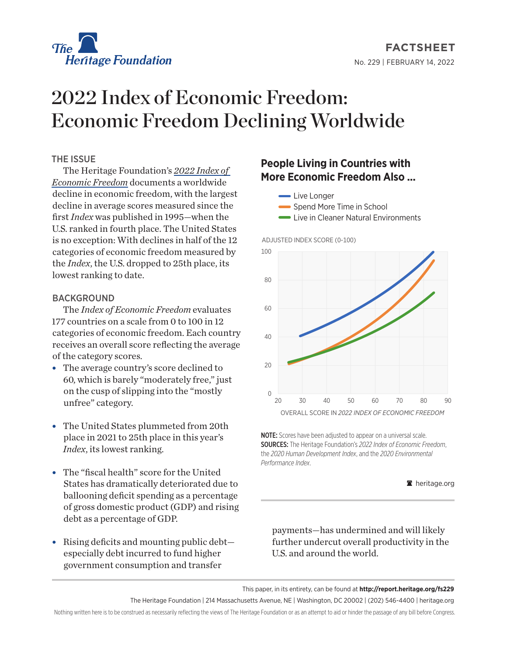

# 2022 Index of Economic Freedom: Economic Freedom Declining Worldwide

## THE ISSUE

The Heritage Foundation's *[2022 Index of](https://www.heritage.org/index/)  [Economic Freedom](https://www.heritage.org/index/)* documents a worldwide decline in economic freedom, with the largest decline in average scores measured since the first *Index* was published in 1995—when the U.S. ranked in fourth place. The United States is no exception: With declines in half of the 12 categories of economic freedom measured by the *Index*, the U.S. dropped to 25th place, its lowest ranking to date.

## **BACKGROUND**

The *Index of Economic Freedom* evaluates 177 countries on a scale from 0 to 100 in 12 categories of economic freedom. Each country receives an overall score reflecting the average of the category scores.

- The average country's score declined to 60, which is barely "moderately free," just on the cusp of slipping into the "mostly unfree" category.
- The United States plummeted from 20th place in 2021 to 25th place in this year's *Index*, its lowest ranking.
- The "fiscal health" score for the United States has dramatically deteriorated due to ballooning deficit spending as a percentage of gross domestic product (GDP) and rising debt as a percentage of GDP.
- $\bullet$  Rising deficits and mounting public debt especially debt incurred to fund higher government consumption and transfer

# **People Living in Countries with More Economic Freedom Also ...**

- **Live Longer**
- Spend More Time in School
- **Live in Cleaner Natural Environments**





NOTE: Scores have been adjusted to appear on a universal scale. SOURCES: The Heritage Foundation's *2022 Index of Economic Freedom*, the *2020 Human Development Index*, and the *2020 Environmental Performance Index*.

#### A heritage.org

payments—has undermined and will likely further undercut overall productivity in the U.S. and around the world.

This paper, in its entirety, can be found at **http://report.heritage.org/fs229**

The Heritage Foundation | 214 Massachusetts Avenue, NE | Washington, DC 20002 | (202) 546-4400 | heritage.org

Nothing written here is to be construed as necessarily reflecting the views of The Heritage Foundation or as an attempt to aid or hinder the passage of any bill before Congress.